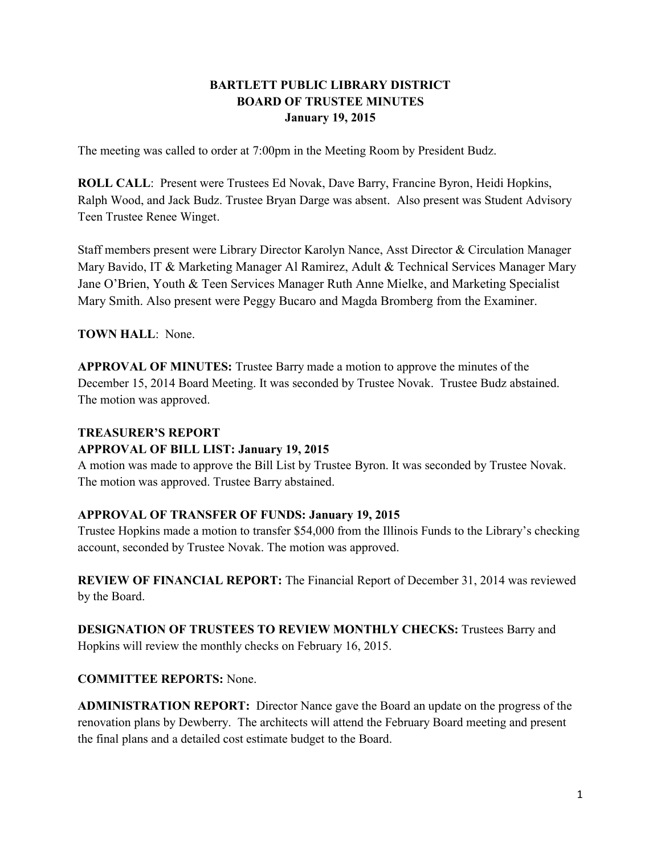# **BARTLETT PUBLIC LIBRARY DISTRICT BOARD OF TRUSTEE MINUTES January 19, 2015**

The meeting was called to order at 7:00pm in the Meeting Room by President Budz.

**ROLL CALL**: Present were Trustees Ed Novak, Dave Barry, Francine Byron, Heidi Hopkins, Ralph Wood, and Jack Budz. Trustee Bryan Darge was absent. Also present was Student Advisory Teen Trustee Renee Winget.

Staff members present were Library Director Karolyn Nance, Asst Director & Circulation Manager Mary Bavido, IT & Marketing Manager Al Ramirez, Adult & Technical Services Manager Mary Jane O'Brien, Youth & Teen Services Manager Ruth Anne Mielke, and Marketing Specialist Mary Smith. Also present were Peggy Bucaro and Magda Bromberg from the Examiner.

**TOWN HALL**: None.

**APPROVAL OF MINUTES:** Trustee Barry made a motion to approve the minutes of the December 15, 2014 Board Meeting. It was seconded by Trustee Novak. Trustee Budz abstained. The motion was approved.

#### **TREASURER'S REPORT**

#### **APPROVAL OF BILL LIST: January 19, 2015**

A motion was made to approve the Bill List by Trustee Byron. It was seconded by Trustee Novak. The motion was approved. Trustee Barry abstained.

## **APPROVAL OF TRANSFER OF FUNDS: January 19, 2015**

Trustee Hopkins made a motion to transfer \$54,000 from the Illinois Funds to the Library's checking account, seconded by Trustee Novak. The motion was approved.

**REVIEW OF FINANCIAL REPORT:** The Financial Report of December 31, 2014 was reviewed by the Board.

**DESIGNATION OF TRUSTEES TO REVIEW MONTHLY CHECKS:** Trustees Barry and Hopkins will review the monthly checks on February 16, 2015.

## **COMMITTEE REPORTS:** None.

**ADMINISTRATION REPORT:** Director Nance gave the Board an update on the progress of the renovation plans by Dewberry. The architects will attend the February Board meeting and present the final plans and a detailed cost estimate budget to the Board.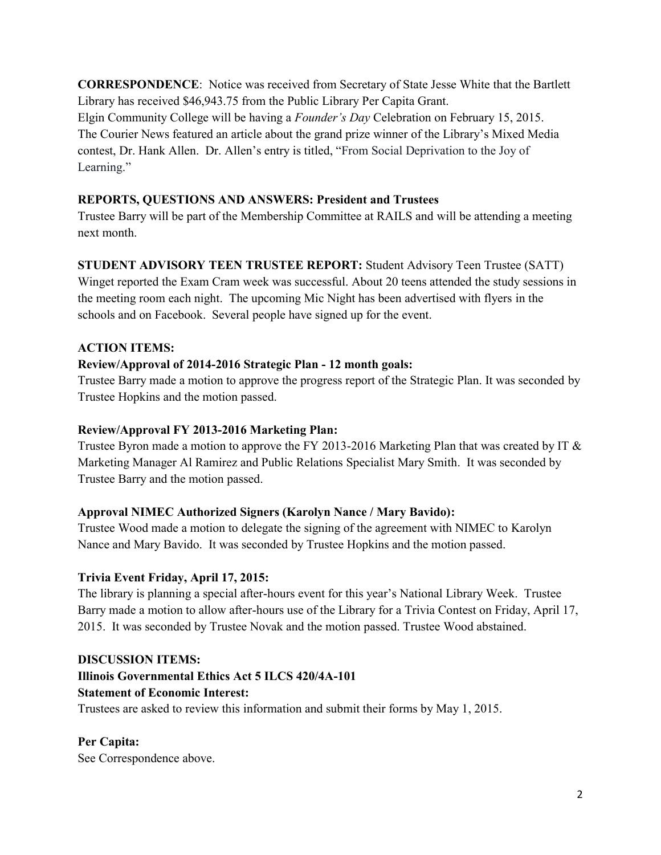**CORRESPONDENCE**: Notice was received from Secretary of State Jesse White that the Bartlett Library has received \$46,943.75 from the Public Library Per Capita Grant. Elgin Community College will be having a *Founder's Day* Celebration on February 15, 2015. The Courier News featured an article about the grand prize winner of the Library's Mixed Media contest, Dr. Hank Allen. Dr. Allen's entry is titled, "From Social Deprivation to the Joy of Learning."

## **REPORTS, QUESTIONS AND ANSWERS: President and Trustees**

Trustee Barry will be part of the Membership Committee at RAILS and will be attending a meeting next month.

# **STUDENT ADVISORY TEEN TRUSTEE REPORT:** Student Advisory Teen Trustee (SATT)

Winget reported the Exam Cram week was successful. About 20 teens attended the study sessions in the meeting room each night. The upcoming Mic Night has been advertised with flyers in the schools and on Facebook. Several people have signed up for the event.

# **ACTION ITEMS:**

# **Review/Approval of 2014-2016 Strategic Plan - 12 month goals:**

Trustee Barry made a motion to approve the progress report of the Strategic Plan. It was seconded by Trustee Hopkins and the motion passed.

## **Review/Approval FY 2013-2016 Marketing Plan:**

Trustee Byron made a motion to approve the FY 2013-2016 Marketing Plan that was created by IT & Marketing Manager Al Ramirez and Public Relations Specialist Mary Smith. It was seconded by Trustee Barry and the motion passed.

## **Approval NIMEC Authorized Signers (Karolyn Nance / Mary Bavido):**

Trustee Wood made a motion to delegate the signing of the agreement with NIMEC to Karolyn Nance and Mary Bavido. It was seconded by Trustee Hopkins and the motion passed.

## **Trivia Event Friday, April 17, 2015:**

The library is planning a special after-hours event for this year's National Library Week. Trustee Barry made a motion to allow after-hours use of the Library for a Trivia Contest on Friday, April 17, 2015. It was seconded by Trustee Novak and the motion passed. Trustee Wood abstained.

## **DISCUSSION ITEMS:**

## **Illinois Governmental Ethics Act 5 ILCS 420/4A-101**

## **Statement of Economic Interest:**

Trustees are asked to review this information and submit their forms by May 1, 2015.

## **Per Capita:**

See Correspondence above.